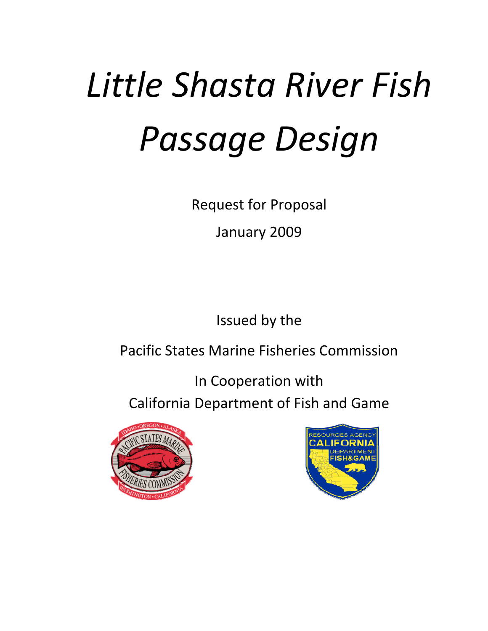# *(b) Little Shasta River Fish Passage Design*

Request for Proposal

January 2009

Issued by the

Pacific States Marine Fisheries Commission

In Cooperation with California Department of Fish and Game



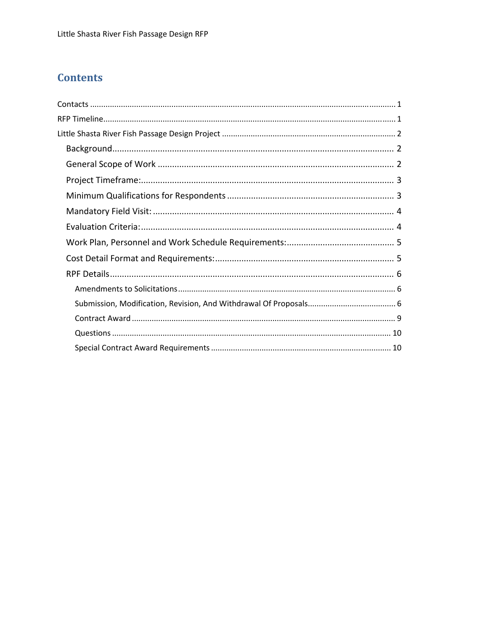# **Contents**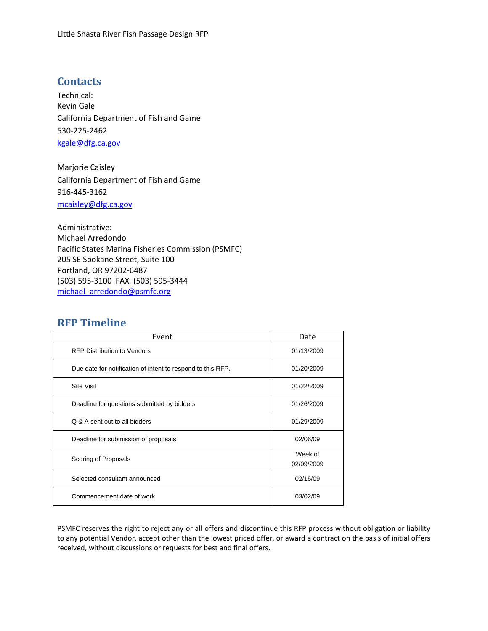# <span id="page-2-0"></span>**Contacts**

Technical: Kevin Gale California Department of Fish and Game 530‐225‐2462 [kgale@dfg.ca.gov](mailto:kgale@dfg.ca.gov)

Marjorie Caisley California Department of Fish and Game 916‐445‐3162 [mcaisley@dfg.ca.gov](mailto:mcaisley@dfg.ca.gov)

Administrative: Michael Arredondo Pacific States Marina Fisheries Commission (PSMFC) 205 SE Spokane Street, Suite 100 Portland, OR 97202‐6487 (503) 595‐3100 FAX (503) 595‐3444 [michael\\_arredondo@psmfc.org](mailto:michael_arredondo@psmfc.org)

# **RFP Timeline**

| Event                                                       | Date                  |
|-------------------------------------------------------------|-----------------------|
| <b>RFP Distribution to Vendors</b>                          | 01/13/2009            |
| Due date for notification of intent to respond to this RFP. | 01/20/2009            |
| <b>Site Visit</b>                                           | 01/22/2009            |
| Deadline for questions submitted by bidders                 | 01/26/2009            |
| Q & A sent out to all bidders                               | 01/29/2009            |
| Deadline for submission of proposals                        | 02/06/09              |
| Scoring of Proposals                                        | Week of<br>02/09/2009 |
| Selected consultant announced                               | 02/16/09              |
| Commencement date of work                                   | 03/02/09              |

PSMFC reserves the right to reject any or all offers and discontinue this RFP process without obligation or liability to any potential Vendor, accept other than the lowest priced offer, or award a contract on the basis of initial offers received, without discussions or requests for best and final offers.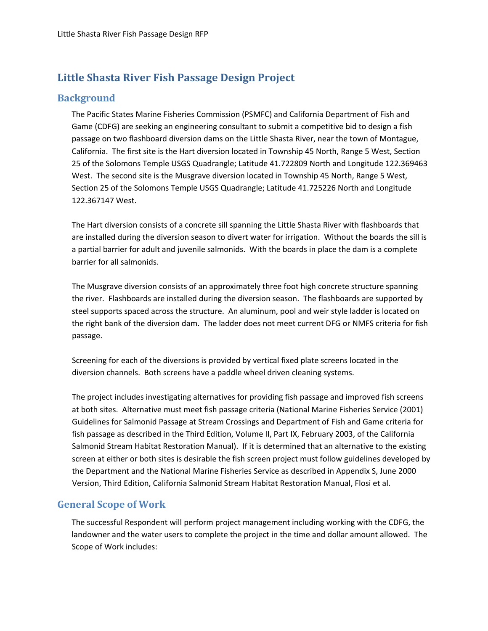# <span id="page-3-0"></span>**Little Shasta River Fish Passage Design Project**

# **Background**

The Pacific States Marine Fisheries Commission (PSMFC) and California Department of Fish and Game (CDFG) are seeking an engineering consultant to submit a competitive bid to design a fish passage on two flashboard diversion dams on the Little Shasta River, near the town of Montague, California. The first site is the Hart diversion located in Township 45 North, Range 5 West, Section 25 of the Solomons Temple USGS Quadrangle; Latitude 41.722809 North and Longitude 122.369463 West. The second site is the Musgrave diversion located in Township 45 North, Range 5 West, Section 25 of the Solomons Temple USGS Quadrangle; Latitude 41.725226 North and Longitude 122.367147 West.

The Hart diversion consists of a concrete sill spanning the Little Shasta River with flashboards that are installed during the diversion season to divert water for irrigation. Without the boards the sill is a partial barrier for adult and juvenile salmonids. With the boards in place the dam is a complete barrier for all salmonids.

The Musgrave diversion consists of an approximately three foot high concrete structure spanning the river. Flashboards are installed during the diversion season. The flashboards are supported by steel supports spaced across the structure. An aluminum, pool and weir style ladder is located on the right bank of the diversion dam. The ladder does not meet current DFG or NMFS criteria for fish passage.

Screening for each of the diversions is provided by vertical fixed plate screens located in the diversion channels. Both screens have a paddle wheel driven cleaning systems.

The project includes investigating alternatives for providing fish passage and improved fish screens at both sites. Alternative must meet fish passage criteria (National Marine Fisheries Service (2001) Guidelines for Salmonid Passage at Stream Crossings and Department of Fish and Game criteria for fish passage as described in the Third Edition, Volume II, Part IX, February 2003, of the California Salmonid Stream Habitat Restoration Manual). If it is determined that an alternative to the existing screen at either or both sites is desirable the fish screen project must follow guidelines developed by the Department and the National Marine Fisheries Service as described in Appendix S, June 2000 Version, Third Edition, California Salmonid Stream Habitat Restoration Manual, Flosi et al.

# **General Scope of Work**

The successful Respondent will perform project management including working with the CDFG, the landowner and the water users to complete the project in the time and dollar amount allowed. The Scope of Work includes: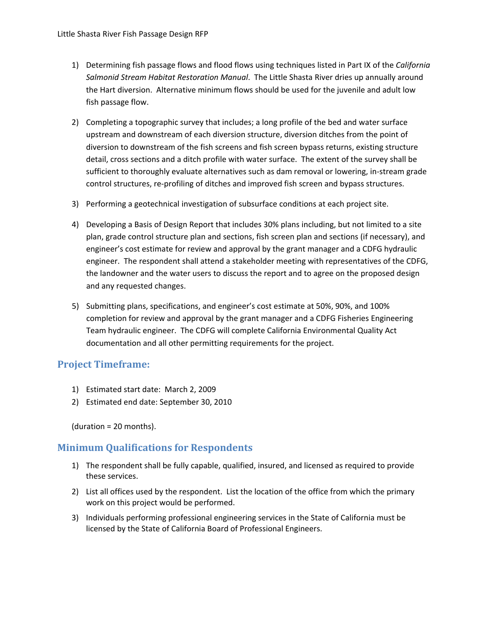- <span id="page-4-0"></span>1) Determining fish passage flows and flood flows using techniques listed in Part IX of the *California Salmonid Stream Habitat Restoration Manual*. The Little Shasta River dries up annually around the Hart diversion. Alternative minimum flows should be used for the juvenile and adult low fish passage flow.
- 2) Completing a topographic survey that includes; a long profile of the bed and water surface upstream and downstream of each diversion structure, diversion ditches from the point of diversion to downstream of the fish screens and fish screen bypass returns, existing structure detail, cross sections and a ditch profile with water surface. The extent of the survey shall be sufficient to thoroughly evaluate alternatives such as dam removal or lowering, in‐stream grade control structures, re‐profiling of ditches and improved fish screen and bypass structures.
- 3) Performing a geotechnical investigation of subsurface conditions at each project site.
- 4) Developing a Basis of Design Report that includes 30% plans including, but not limited to a site plan, grade control structure plan and sections, fish screen plan and sections (if necessary), and engineer's cost estimate for review and approval by the grant manager and a CDFG hydraulic engineer. The respondent shall attend a stakeholder meeting with representatives of the CDFG, the landowner and the water users to discuss the report and to agree on the proposed design and any requested changes.
- 5) Submitting plans, specifications, and engineer's cost estimate at 50%, 90%, and 100% completion for review and approval by the grant manager and a CDFG Fisheries Engineering Team hydraulic engineer. The CDFG will complete California Environmental Quality Act documentation and all other permitting requirements for the project.

## **Project Timeframe:**

- 1) Estimated start date: March 2, 2009
- 2) Estimated end date: September 30, 2010

(duration = 20 months).

## **Minimum Qualifications for Respondents**

- 1) The respondent shall be fully capable, qualified, insured, and licensed as required to provide these services.
- 2) List all offices used by the respondent. List the location of the office from which the primary work on this project would be performed.
- 3) Individuals performing professional engineering services in the State of California must be licensed by the State of California Board of Professional Engineers.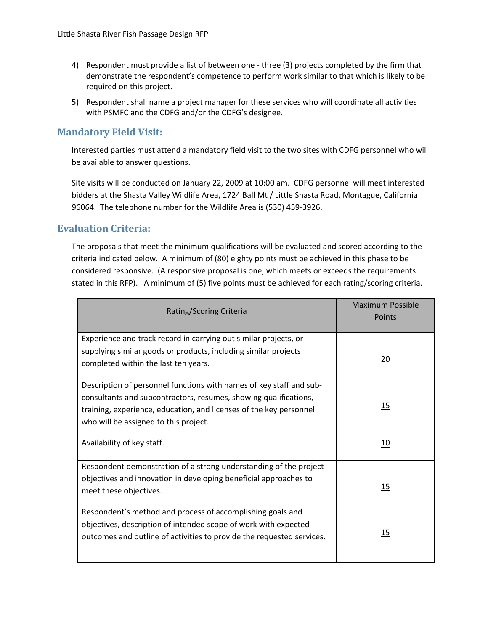- <span id="page-5-0"></span>4) Respondent must provide a list of between one - three (3) projects completed by the firm that demonstrate the respondent's competence to perform work similar to that which is likely to be required on this project.
- 5) Respondent shall name a project manager for these services who will coordinate all activities with PSMFC and the CDFG and/or the CDFG's designee.

## **Mandatory Field Visit:**

Interested parties must attend a mandatory field visit to the two sites with CDFG personnel who will be available to answer questions.

Site visits will be conducted on January 22, 2009 at 10:00 am. CDFG personnel will meet interested bidders at the Shasta Valley Wildlife Area, 1724 Ball Mt / Little Shasta Road, Montague, California 96064. The telephone number for the Wildlife Area is (530) 459‐3926.

# **Evaluation Criteria:**

The proposals that meet the minimum qualifications will be evaluated and scored according to the criteria indicated below. A minimum of (80) eighty points must be achieved in this phase to be considered responsive. (A responsive proposal is one, which meets or exceeds the requirements stated in this RFP). A minimum of (5) five points must be achieved for each rating/scoring criteria.

| Rating/Scoring Criteria                                                                                                                                                                                                                                | <b>Maximum Possible</b><br>Points |
|--------------------------------------------------------------------------------------------------------------------------------------------------------------------------------------------------------------------------------------------------------|-----------------------------------|
| Experience and track record in carrying out similar projects, or<br>supplying similar goods or products, including similar projects<br>completed within the last ten years.                                                                            | 20                                |
| Description of personnel functions with names of key staff and sub-<br>consultants and subcontractors, resumes, showing qualifications,<br>training, experience, education, and licenses of the key personnel<br>who will be assigned to this project. | 15                                |
| Availability of key staff.                                                                                                                                                                                                                             | 10                                |
| Respondent demonstration of a strong understanding of the project<br>objectives and innovation in developing beneficial approaches to<br>meet these objectives.                                                                                        | 15                                |
| Respondent's method and process of accomplishing goals and<br>objectives, description of intended scope of work with expected<br>outcomes and outline of activities to provide the requested services.                                                 | 15                                |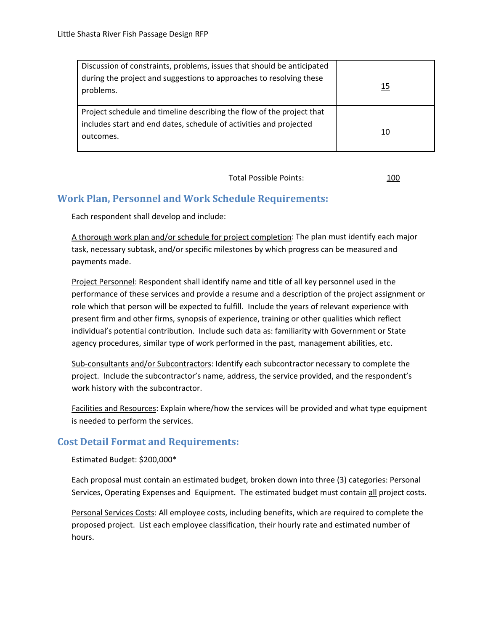<span id="page-6-0"></span>

| Discussion of constraints, problems, issues that should be anticipated<br>during the project and suggestions to approaches to resolving these<br>problems. | 15 |
|------------------------------------------------------------------------------------------------------------------------------------------------------------|----|
| Project schedule and timeline describing the flow of the project that<br>includes start and end dates, schedule of activities and projected<br>outcomes.   | 10 |

Total Possible Points: 100

# **Work Plan, Personnel and Work Schedule Requirements:**

Each respondent shall develop and include:

A thorough work plan and/or schedule for project completion: The plan must identify each major task, necessary subtask, and/or specific milestones by which progress can be measured and payments made.

Project Personnel: Respondent shall identify name and title of all key personnel used in the performance of these services and provide a resume and a description of the project assignment or role which that person will be expected to fulfill. Include the years of relevant experience with present firm and other firms, synopsis of experience, training or other qualities which reflect individual's potential contribution. Include such data as: familiarity with Government or State agency procedures, similar type of work performed in the past, management abilities, etc.

Sub‐consultants and/or Subcontractors: Identify each subcontractor necessary to complete the project. Include the subcontractor's name, address, the service provided, and the respondent's work history with the subcontractor.

Facilities and Resources: Explain where/how the services will be provided and what type equipment is needed to perform the services.

# **Cost Detail Format and Requirements:**

Estimated Budget: \$200,000\*

Each proposal must contain an estimated budget, broken down into three (3) categories: Personal Services, Operating Expenses and Equipment. The estimated budget must contain all project costs.

Personal Services Costs: All employee costs, including benefits, which are required to complete the proposed project. List each employee classification, their hourly rate and estimated number of hours.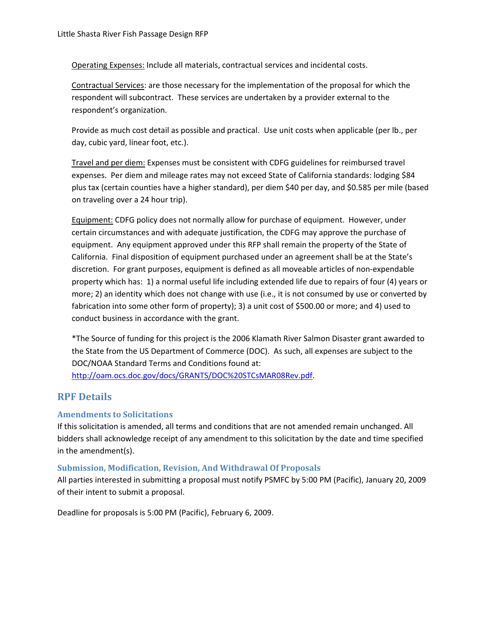<span id="page-7-0"></span>Operating Expenses: Include all materials, contractual services and incidental costs.

Contractual Services: are those necessary for the implementation of the proposal for which the respondent will subcontract. These services are undertaken by a provider external to the respondent's organization.

Provide as much cost detail as possible and practical. Use unit costs when applicable (per lb., per day, cubic yard, linear foot, etc.).

Travel and per diem: Expenses must be consistent with CDFG guidelines for reimbursed travel expenses. Per diem and mileage rates may not exceed State of California standards: lodging \$84 plus tax (certain counties have a higher standard), per diem \$40 per day, and \$0.585 per mile (based on traveling over a 24 hour trip).

Equipment: CDFG policy does not normally allow for purchase of equipment. However, under certain circumstances and with adequate justification, the CDFG may approve the purchase of equipment. Any equipment approved under this RFP shall remain the property of the State of California. Final disposition of equipment purchased under an agreement shall be at the State's discretion. For grant purposes, equipment is defined as all moveable articles of non‐expendable property which has: 1) a normal useful life including extended life due to repairs of four (4) years or more; 2) an identity which does not change with use (i.e., it is not consumed by use or converted by fabrication into some other form of property); 3) a unit cost of \$500.00 or more; and 4) used to conduct business in accordance with the grant.

\*The Source of funding for this project is the 2006 Klamath River Salmon Disaster grant awarded to the State from the US Department of Commerce (DOC). As such, all expenses are subject to the DOC/NOAA Standard Terms and Conditions found at: <http://oam.ocs.doc.gov/docs/GRANTS/DOC%20STCsMAR08Rev.pdf>.

## **RPF Details**

#### **Amendments to Solicitations**

If this solicitation is amended, all terms and conditions that are not amended remain unchanged. All bidders shall acknowledge receipt of any amendment to this solicitation by the date and time specified in the amendment(s).

#### **Submission, Modification, Revision, And Withdrawal Of Proposals**

All parties interested in submitting a proposal must notify PSMFC by 5:00 PM (Pacific), January 20, 2009 of their intent to submit a proposal.

Deadline for proposals is 5:00 PM (Pacific), February 6, 2009.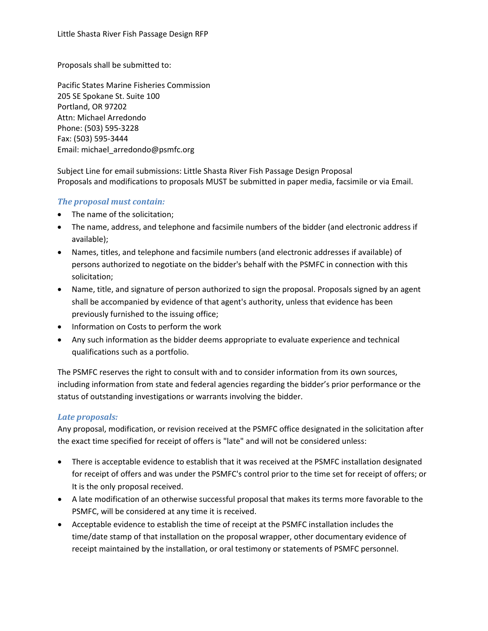Proposals shall be submitted to:

Pacific States Marine Fisheries Commission 205 SE Spokane St. Suite 100 Portland, OR 97202 Attn: Michael Arredondo Phone: (503) 595‐3228 Fax: (503) 595‐3444 Email: michael\_arredondo@psmfc.org

Subject Line for email submissions: Little Shasta River Fish Passage Design Proposal Proposals and modifications to proposals MUST be submitted in paper media, facsimile or via Email.

#### *The proposal must contain:*

- The name of the solicitation;
- The name, address, and telephone and facsimile numbers of the bidder (and electronic address if available);
- Names, titles, and telephone and facsimile numbers (and electronic addresses if available) of persons authorized to negotiate on the bidder's behalf with the PSMFC in connection with this solicitation;
- Name, title, and signature of person authorized to sign the proposal. Proposals signed by an agent shall be accompanied by evidence of that agent's authority, unless that evidence has been previously furnished to the issuing office;
- Information on Costs to perform the work
- Any such information as the bidder deems appropriate to evaluate experience and technical qualifications such as a portfolio.

The PSMFC reserves the right to consult with and to consider information from its own sources, including information from state and federal agencies regarding the bidder's prior performance or the status of outstanding investigations or warrants involving the bidder.

#### *Late proposals:*

Any proposal, modification, or revision received at the PSMFC office designated in the solicitation after the exact time specified for receipt of offers is "late" and will not be considered unless:

- There is acceptable evidence to establish that it was received at the PSMFC installation designated for receipt of offers and was under the PSMFC's control prior to the time set for receipt of offers; or It is the only proposal received.
- A late modification of an otherwise successful proposal that makes its terms more favorable to the PSMFC, will be considered at any time it is received.
- Acceptable evidence to establish the time of receipt at the PSMFC installation includes the time/date stamp of that installation on the proposal wrapper, other documentary evidence of receipt maintained by the installation, or oral testimony or statements of PSMFC personnel.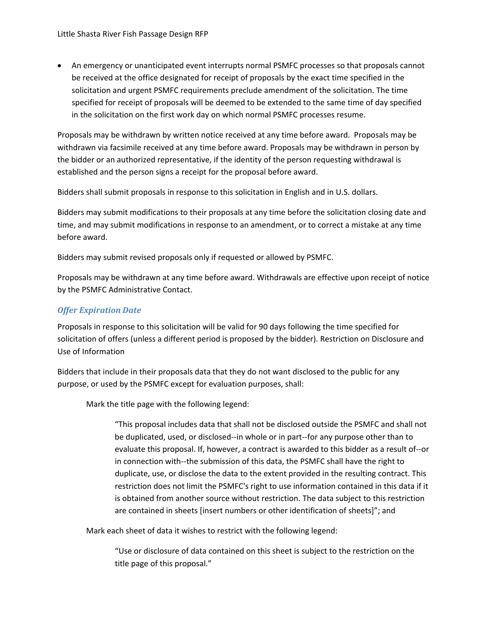• An emergency or unanticipated event interrupts normal PSMFC processes so that proposals cannot be received at the office designated for receipt of proposals by the exact time specified in the solicitation and urgent PSMFC requirements preclude amendment of the solicitation. The time specified for receipt of proposals will be deemed to be extended to the same time of day specified in the solicitation on the first work day on which normal PSMFC processes resume.

Proposals may be withdrawn by written notice received at any time before award. Proposals may be withdrawn via facsimile received at any time before award. Proposals may be withdrawn in person by the bidder or an authorized representative, if the identity of the person requesting withdrawal is established and the person signs a receipt for the proposal before award.

Bidders shall submit proposals in response to this solicitation in English and in U.S. dollars.

Bidders may submit modifications to their proposals at any time before the solicitation closing date and time, and may submit modifications in response to an amendment, or to correct a mistake at any time before award.

Bidders may submit revised proposals only if requested or allowed by PSMFC.

Proposals may be withdrawn at any time before award. Withdrawals are effective upon receipt of notice by the PSMFC Administrative Contact.

#### *Offer Expiration Date*

Proposals in response to this solicitation will be valid for 90 days following the time specified for solicitation of offers (unless a different period is proposed by the bidder). Restriction on Disclosure and Use of Information

Bidders that include in their proposals data that they do not want disclosed to the public for any purpose, or used by the PSMFC except for evaluation purposes, shall:

Mark the title page with the following legend:

"This proposal includes data that shall not be disclosed outside the PSMFC and shall not be duplicated, used, or disclosed‐‐in whole or in part‐‐for any purpose other than to evaluate this proposal. If, however, a contract is awarded to this bidder as a result of‐‐or in connection with‐‐the submission of this data, the PSMFC shall have the right to duplicate, use, or disclose the data to the extent provided in the resulting contract. This restriction does not limit the PSMFC's right to use information contained in this data if it is obtained from another source without restriction. The data subject to this restriction are contained in sheets [insert numbers or other identification of sheets]"; and

Mark each sheet of data it wishes to restrict with the following legend:

"Use or disclosure of data contained on this sheet is subject to the restriction on the title page of this proposal."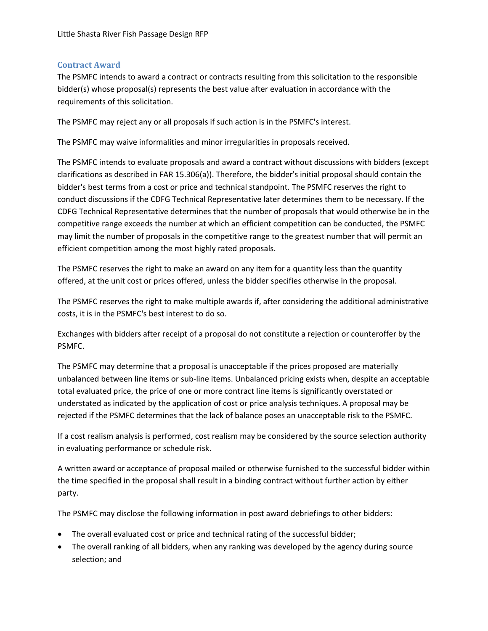#### <span id="page-10-0"></span>**Contract Award**

The PSMFC intends to award a contract or contracts resulting from this solicitation to the responsible bidder(s) whose proposal(s) represents the best value after evaluation in accordance with the requirements of this solicitation.

The PSMFC may reject any or all proposals if such action is in the PSMFC's interest.

The PSMFC may waive informalities and minor irregularities in proposals received.

The PSMFC intends to evaluate proposals and award a contract without discussions with bidders (except clarifications as described in FAR 15.306(a)). Therefore, the bidder's initial proposal should contain the bidder's best terms from a cost or price and technical standpoint. The PSMFC reserves the right to conduct discussions if the CDFG Technical Representative later determines them to be necessary. If the CDFG Technical Representative determines that the number of proposals that would otherwise be in the competitive range exceeds the number at which an efficient competition can be conducted, the PSMFC may limit the number of proposals in the competitive range to the greatest number that will permit an efficient competition among the most highly rated proposals.

The PSMFC reserves the right to make an award on any item for a quantity less than the quantity offered, at the unit cost or prices offered, unless the bidder specifies otherwise in the proposal.

The PSMFC reserves the right to make multiple awards if, after considering the additional administrative costs, it is in the PSMFC's best interest to do so.

Exchanges with bidders after receipt of a proposal do not constitute a rejection or counteroffer by the PSMFC.

The PSMFC may determine that a proposal is unacceptable if the prices proposed are materially unbalanced between line items or sub‐line items. Unbalanced pricing exists when, despite an acceptable total evaluated price, the price of one or more contract line items is significantly overstated or understated as indicated by the application of cost or price analysis techniques. A proposal may be rejected if the PSMFC determines that the lack of balance poses an unacceptable risk to the PSMFC.

If a cost realism analysis is performed, cost realism may be considered by the source selection authority in evaluating performance or schedule risk.

A written award or acceptance of proposal mailed or otherwise furnished to the successful bidder within the time specified in the proposal shall result in a binding contract without further action by either party.

The PSMFC may disclose the following information in post award debriefings to other bidders:

- The overall evaluated cost or price and technical rating of the successful bidder;
- The overall ranking of all bidders, when any ranking was developed by the agency during source selection; and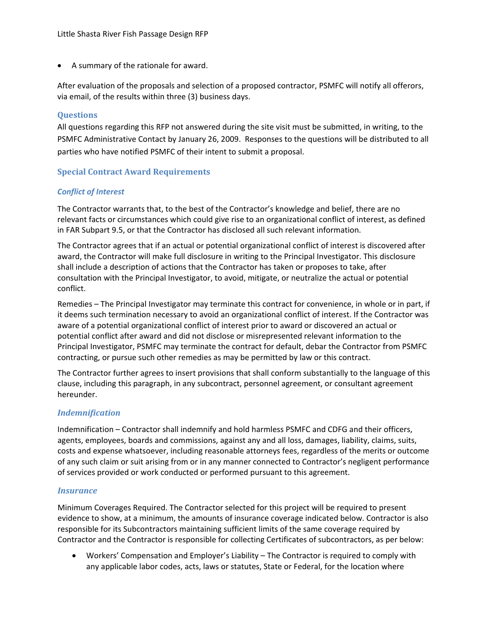<span id="page-11-0"></span>• A summary of the rationale for award.

After evaluation of the proposals and selection of a proposed contractor, PSMFC will notify all offerors, via email, of the results within three (3) business days.

#### **Questions**

All questions regarding this RFP not answered during the site visit must be submitted, in writing, to the PSMFC Administrative Contact by January 26, 2009. Responses to the questions will be distributed to all parties who have notified PSMFC of their intent to submit a proposal.

#### **Special Contract Award Requirements**

#### *Conflict of Interest*

The Contractor warrants that, to the best of the Contractor's knowledge and belief, there are no relevant facts or circumstances which could give rise to an organizational conflict of interest, as defined in FAR Subpart 9.5, or that the Contractor has disclosed all such relevant information.

The Contractor agrees that if an actual or potential organizational conflict of interest is discovered after award, the Contractor will make full disclosure in writing to the Principal Investigator. This disclosure shall include a description of actions that the Contractor has taken or proposes to take, after consultation with the Principal Investigator, to avoid, mitigate, or neutralize the actual or potential conflict.

Remedies – The Principal Investigator may terminate this contract for convenience, in whole or in part, if it deems such termination necessary to avoid an organizational conflict of interest. If the Contractor was aware of a potential organizational conflict of interest prior to award or discovered an actual or potential conflict after award and did not disclose or misrepresented relevant information to the Principal Investigator, PSMFC may terminate the contract for default, debar the Contractor from PSMFC contracting, or pursue such other remedies as may be permitted by law or this contract.

The Contractor further agrees to insert provisions that shall conform substantially to the language of this clause, including this paragraph, in any subcontract, personnel agreement, or consultant agreement hereunder.

#### *Indemnification*

Indemnification – Contractor shall indemnify and hold harmless PSMFC and CDFG and their officers, agents, employees, boards and commissions, against any and all loss, damages, liability, claims, suits, costs and expense whatsoever, including reasonable attorneys fees, regardless of the merits or outcome of any such claim or suit arising from or in any manner connected to Contractor's negligent performance of services provided or work conducted or performed pursuant to this agreement.

#### *Insurance*

Minimum Coverages Required. The Contractor selected for this project will be required to present evidence to show, at a minimum, the amounts of insurance coverage indicated below. Contractor is also responsible for its Subcontractors maintaining sufficient limits of the same coverage required by Contractor and the Contractor is responsible for collecting Certificates of subcontractors, as per below:

• Workers' Compensation and Employer's Liability – The Contractor is required to comply with any applicable labor codes, acts, laws or statutes, State or Federal, for the location where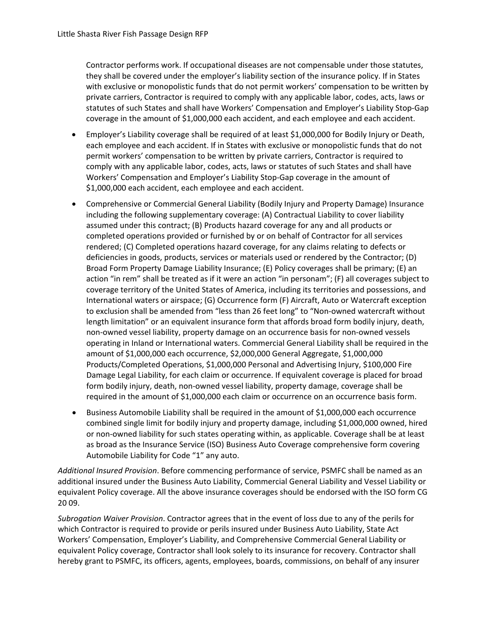Contractor performs work. If occupational diseases are not compensable under those statutes, they shall be covered under the employer's liability section of the insurance policy. If in States with exclusive or monopolistic funds that do not permit workers' compensation to be written by private carriers, Contractor is required to comply with any applicable labor, codes, acts, laws or statutes of such States and shall have Workers' Compensation and Employer's Liability Stop‐Gap coverage in the amount of \$1,000,000 each accident, and each employee and each accident.

- Employer's Liability coverage shall be required of at least \$1,000,000 for Bodily Injury or Death, each employee and each accident. If in States with exclusive or monopolistic funds that do not permit workers' compensation to be written by private carriers, Contractor is required to comply with any applicable labor, codes, acts, laws or statutes of such States and shall have Workers' Compensation and Employer's Liability Stop‐Gap coverage in the amount of \$1,000,000 each accident, each employee and each accident.
- Comprehensive or Commercial General Liability (Bodily Injury and Property Damage) Insurance including the following supplementary coverage: (A) Contractual Liability to cover liability assumed under this contract; (B) Products hazard coverage for any and all products or completed operations provided or furnished by or on behalf of Contractor for all services rendered; (C) Completed operations hazard coverage, for any claims relating to defects or deficiencies in goods, products, services or materials used or rendered by the Contractor; (D) Broad Form Property Damage Liability Insurance; (E) Policy coverages shall be primary; (E) an action "in rem" shall be treated as if it were an action "in personam"; (F) all coverages subject to coverage territory of the United States of America, including its territories and possessions, and International waters or airspace; (G) Occurrence form (F) Aircraft, Auto or Watercraft exception to exclusion shall be amended from "less than 26 feet long" to "Non-owned watercraft without length limitation" or an equivalent insurance form that affords broad form bodily injury, death, non‐owned vessel liability, property damage on an occurrence basis for non‐owned vessels operating in Inland or International waters. Commercial General Liability shall be required in the amount of \$1,000,000 each occurrence, \$2,000,000 General Aggregate, \$1,000,000 Products/Completed Operations, \$1,000,000 Personal and Advertising Injury, \$100,000 Fire Damage Legal Liability, for each claim or occurrence. If equivalent coverage is placed for broad form bodily injury, death, non-owned vessel liability, property damage, coverage shall be required in the amount of \$1,000,000 each claim or occurrence on an occurrence basis form.
- Business Automobile Liability shall be required in the amount of \$1,000,000 each occurrence combined single limit for bodily injury and property damage, including \$1,000,000 owned, hired or non-owned liability for such states operating within, as applicable. Coverage shall be at least as broad as the Insurance Service (ISO) Business Auto Coverage comprehensive form covering Automobile Liability for Code "1" any auto.

*Additional Insured Provision*. Before commencing performance of service, PSMFC shall be named as an additional insured under the Business Auto Liability, Commercial General Liability and Vessel Liability or equivalent Policy coverage. All the above insurance coverages should be endorsed with the ISO form CG 20 09.

*Subrogation Waiver Provision*. Contractor agrees that in the event of loss due to any of the perils for which Contractor is required to provide or perils insured under Business Auto Liability, State Act Workers' Compensation, Employer's Liability, and Comprehensive Commercial General Liability or equivalent Policy coverage, Contractor shall look solely to its insurance for recovery. Contractor shall hereby grant to PSMFC, its officers, agents, employees, boards, commissions, on behalf of any insurer